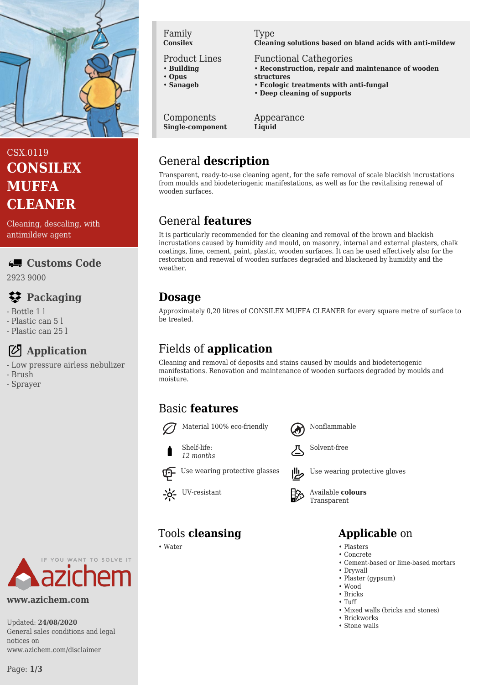

# CSX.0119 **CONSILEX MUFFA CLEANER**

Cleaning, descaling, with antimildew agent

#### **Customs Code**

2923 9000

# **Packaging**

- Bottle 1 l
- Plastic can 5 l
- Plastic can 25 l

## **Application**

- Low pressure airless nebulizer
- Brush
- Sprayer

# IF YOU WANT TO SOLVE IT

#### **www.azichem.com**

Updated: **24/08/2020** General sales conditions and legal notices on www.azichem.com/disclaimer

Family **Consilex**

#### Product Lines

- **Building**
- **Opus**
- **Sanageb**

Components **Single-component**

#### Type

**Cleaning solutions based on bland acids with anti-mildew**

- Functional Cathegories
- **Reconstruction, repair and maintenance of wooden structures**
- **Ecologic treatments with anti-fungal**
- **Deep cleaning of supports**

#### Appearance **Liquid**

# General **description**

Transparent, ready-to-use cleaning agent, for the safe removal of scale blackish incrustations from moulds and biodeteriogenic manifestations, as well as for the revitalising renewal of wooden surfaces.

## General **features**

It is particularly recommended for the cleaning and removal of the brown and blackish incrustations caused by humidity and mould, on masonry, internal and external plasters, chalk coatings, lime, cement, paint, plastic, wooden surfaces. It can be used effectively also for the restoration and renewal of wooden surfaces degraded and blackened by humidity and the weather.

## **Dosage**

Approximately 0,20 litres of CONSILEX MUFFA CLEANER for every square metre of surface to be treated.

## Fields of **application**

Cleaning and removal of deposits and stains caused by moulds and biodeteriogenic manifestations. Renovation and maintenance of wooden surfaces degraded by moulds and moisture.

## Basic **features**







*12 months*

Use wearing protective glasses **Use** Use wearing protective gloves

UV-resistant **H<sub>2</sub>** Available **colours** Transparent

# Tools **cleansing Applicable** on

- Water Plasters
	- Concrete • Cement-based or lime-based mortars
	- Drywall
	- Plaster (gypsum)
	- Wood
	- Bricks
	- Tuff
	- Mixed walls (bricks and stones)
	- Brickworks
	- Stone walls

Page: **1/3**

Solvent-free

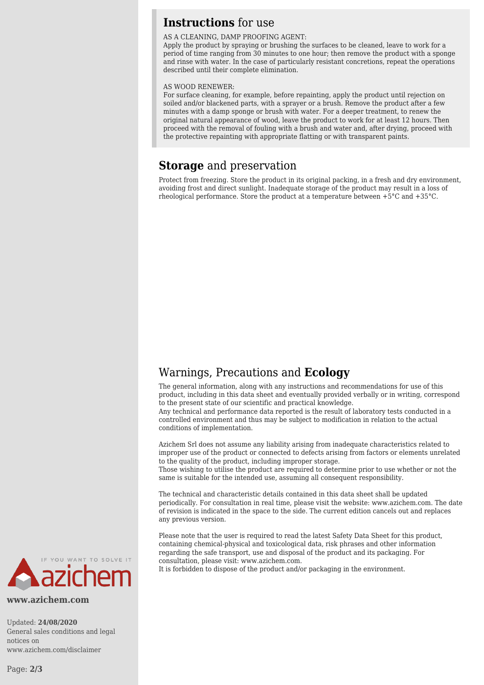#### **Instructions** for use

#### AS A CLEANING, DAMP PROOFING AGENT:

Apply the product by spraying or brushing the surfaces to be cleaned, leave to work for a period of time ranging from 30 minutes to one hour; then remove the product with a sponge and rinse with water. In the case of particularly resistant concretions, repeat the operations described until their complete elimination.

#### AS WOOD RENEWER:

For surface cleaning, for example, before repainting, apply the product until rejection on soiled and/or blackened parts, with a sprayer or a brush. Remove the product after a few minutes with a damp sponge or brush with water. For a deeper treatment, to renew the original natural appearance of wood, leave the product to work for at least 12 hours. Then proceed with the removal of fouling with a brush and water and, after drying, proceed with the protective repainting with appropriate flatting or with transparent paints.

#### **Storage** and preservation

Protect from freezing. Store the product in its original packing, in a fresh and dry environment, avoiding frost and direct sunlight. Inadequate storage of the product may result in a loss of rheological performance. Store the product at a temperature between +5°C and +35°C.

### Warnings, Precautions and **Ecology**

The general information, along with any instructions and recommendations for use of this product, including in this data sheet and eventually provided verbally or in writing, correspond to the present state of our scientific and practical knowledge.

Any technical and performance data reported is the result of laboratory tests conducted in a controlled environment and thus may be subject to modification in relation to the actual conditions of implementation.

Azichem Srl does not assume any liability arising from inadequate characteristics related to improper use of the product or connected to defects arising from factors or elements unrelated to the quality of the product, including improper storage.

Those wishing to utilise the product are required to determine prior to use whether or not the same is suitable for the intended use, assuming all consequent responsibility.

The technical and characteristic details contained in this data sheet shall be updated periodically. For consultation in real time, please visit the website: www.azichem.com. The date of revision is indicated in the space to the side. The current edition cancels out and replaces any previous version.

Please note that the user is required to read the latest Safety Data Sheet for this product, containing chemical-physical and toxicological data, risk phrases and other information regarding the safe transport, use and disposal of the product and its packaging. For consultation, please visit: www.azichem.com.

It is forbidden to dispose of the product and/or packaging in the environment.



**www.azichem.com**

Updated: **24/08/2020** General sales conditions and legal notices on www.azichem.com/disclaimer